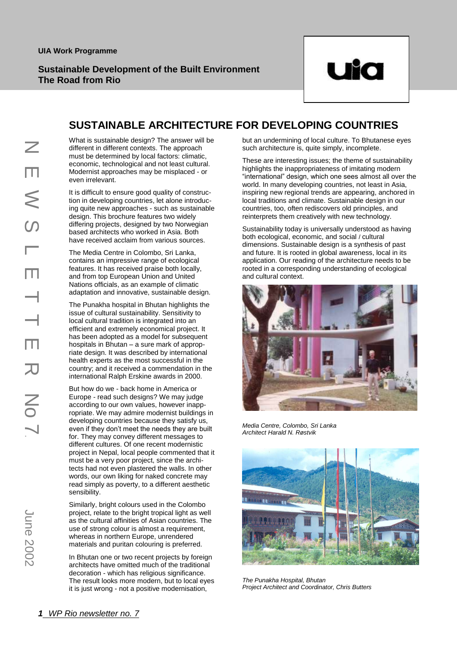

# SUSTAINABLE ARCHITECTURE FOR DEVELOPING COUNTRIES

What is sustainable design? The answer will be different in different contexts. The approach must be determined by local factors: climatic, economic, technological and not least cultural. Modernist approaches may be misplaced - or even irrelevant.

It is difficult to ensure good quality of construction in developing countries, let alone introducing quite new approaches - such as sustainable design. This brochure features two widely differing projects, designed by two Norwegian based architects who worked in Asia. Both have received acclaim from various sources.

The Media Centre in Colombo, Sri Lanka, contains an impressive range of ecological features. It has received praise both locally, and from top European Union and United Nations officials, as an example of climatic adaptation and innovative, sustainable design.

The Punakha hospital in Bhutan highlights the issue of cultural sustainability. Sensitivity to local cultural tradition is integrated into an efficient and extremely economical project. It has been adopted as a model for subsequent hospitals in Bhutan – a sure mark of appropriate design. It was described by international health experts as the most successful in the country; and it received a commendation in the international Ralph Erskine awards in 2000.

*1 Mifferent in different conservants be determined by exceptimed by exception exerce in example the infigure new approach differing projects, design and form in developing countains an impressive design. This broad and* But how do we - back home in America or Europe - read such designs? We may judge according to our own values, however inappropriate. We may admire modernist buildings in developing countries because they satisfy us, even if they don't meet the needs they are built for. They may convey different messages to different cultures. Of one recent modernistic project in Nepal, local people commented that it must be a very poor project, since the architects had not even plastered the walls. In other words, our own liking for naked concrete may read simply as poverty, to a different aesthetic sensibility.

Similarly, bright colours used in the Colombo project, relate to the bright tropical light as well as the cultural affinities of Asian countries. The use of strong colour is almost a requirement, whereas in northern Europe, unrendered materials and puritan colouring is preferred.

In Bhutan one or two recent projects by foreign architects have omitted much of the traditional decoration - which has religious significance. The result looks more modern, but to local eyes it is just wrong - not a positive modernisation,

but an undermining of local culture. To Bhutanese eyes such architecture is, quite simply, incomplete.

These are interesting issues; the theme of sustainability highlights the inappropriateness of imitating modern "international" design, which one sees almost all over the world. In many developing countries, not least in Asia, inspiring new regional trends are appearing, anchored in local traditions and climate. Sustainable design in our countries, too, often rediscovers old principles, and countries, too, often rediscovers old principles, an<br>reinterprets them creatively with new technology.

vandeprote them erectively married technology.<br>Sustainability today is universally understood as having both ecological, economic, and social / cultural both ecological, economic, and social / cultural<br>dimensions. Sustainable design is a synthesis of past and future. It is rooted in global awareness, local in its application. Our reading of the architecture needs to be rooted in a corresponding understanding of ecological and cultural context. universally understood as have



*Media Centre, Colombo, Sri Lanka Architect Harald N. Røstvik*  $\boldsymbol{\nu}$ ik $\boldsymbol{\nu}$ 



*The Punakha Hospital, Bhutan Project Architect and Coordinator, Chris Butters*  $\nabla^2U(t) = \nabla^2U(t)$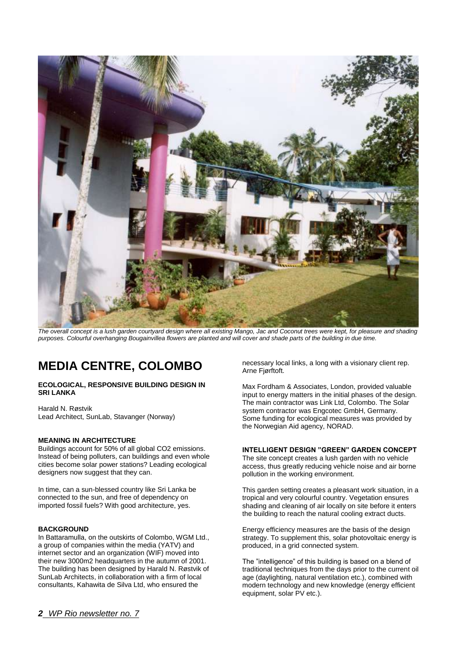

*The overall concept is a lush garden courtyard design where all existing Mango, Jac and Coconut trees were kept, for pleasure and shading purposes. Colourful overhanging Bougainvillea flowers are planted and will cover and shade parts of the building in due time.*

# **MEDIA CENTRE, COLOMBO**

#### **ECOLOGICAL, RESPONSIVE BUILDING DESIGN IN SRI LANKA**

Harald N. Røstvik Lead Architect, SunLab, Stavanger (Norway)

#### **MEANING IN ARCHITECTURE**

Buildings account for 50% of all global CO2 emissions. Instead of being polluters, can buildings and even whole cities become solar power stations? Leading ecological designers now suggest that they can.

In time, can a sun-blessed country like Sri Lanka be connected to the sun, and free of dependency on imported fossil fuels? With good architecture, yes.

#### **BACKGROUND**

In Battaramulla, on the outskirts of Colombo, WGM Ltd., a group of companies within the media (YATV) and internet sector and an organization (WIF) moved into their new 3000m2 headquarters in the autumn of 2001. The building has been designed by Harald N. Røstvik of SunLab Architects, in collaboration with a firm of local consultants, Kahawita de Silva Ltd, who ensured the

necessary local links, a long with a visionary client rep. Arne Fjørftoft.

Max Fordham & Associates, London, provided valuable input to energy matters in the initial phases of the design. The main contractor was Link Ltd, Colombo. The Solar system contractor was Engcotec GmbH, Germany. Some funding for ecological measures was provided by the Norwegian Aid agency, NORAD.

#### **INTELLIGENT DESIGN "GREEN" GARDEN CONCEPT**

The site concept creates a lush garden with no vehicle access, thus greatly reducing vehicle noise and air borne pollution in the working environment.

This garden setting creates a pleasant work situation, in a tropical and very colourful country. Vegetation ensures shading and cleaning of air locally on site before it enters the building to reach the natural cooling extract ducts.

Energy efficiency measures are the basis of the design strategy. To supplement this, solar photovoltaic energy is produced, in a grid connected system.

The "intelligence" of this building is based on a blend of traditional techniques from the days prior to the current oil age (daylighting, natural ventilation etc.), combined with modern technology and new knowledge (energy efficient equipment, solar PV etc.).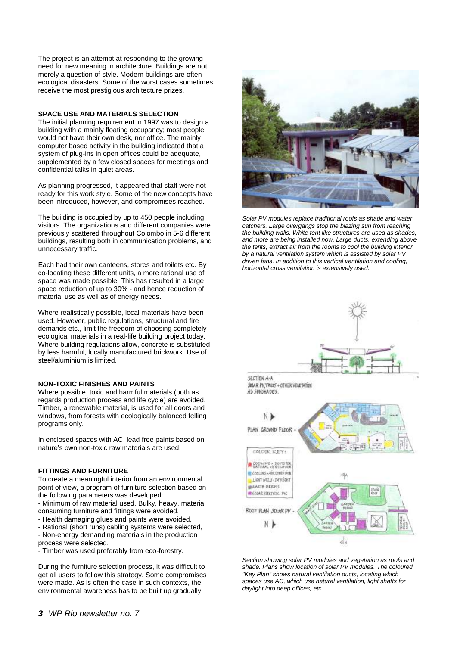The project is an attempt at responding to the growing need for new meaning in architecture. Buildings are not merely a question of style. Modern buildings are often ecological disasters. Some of the worst cases sometimes receive the most prestigious architecture prizes.

#### **SPACE USE AND MATERIALS SELECTION**

The initial planning requirement in 1997 was to design a building with a mainly floating occupancy; most people would not have their own desk, nor office. The mainly computer based activity in the building indicated that a system of plug-ins in open offices could be adequate, supplemented by a few closed spaces for meetings and confidential talks in quiet areas.

As planning progressed, it appeared that staff were not ready for this work style. Some of the new concepts have been introduced, however, and compromises reached.

The building is occupied by up to 450 people including visitors. The organizations and different companies were previously scattered throughout Colombo in 5-6 different buildings, resulting both in communication problems, and unnecessary traffic.

Each had their own canteens, stores and toilets etc. By co-locating these different units, a more rational use of space was made possible. This has resulted in a large space reduction of up to 30% - and hence reduction of material use as well as of energy needs.

Where realistically possible, local materials have been used. However, public regulations, structural and fire demands etc., limit the freedom of choosing completely ecological materials in a real-life building project today. Where building regulations allow, concrete is substituted by less harmful, locally manufactured brickwork. Use of steel/aluminium is limited.

#### **NON-TOXIC FINISHES AND PAINTS**

Where possible, toxic and harmful materials (both as regards production process and life cycle) are avoided. Timber, a renewable material, is used for all doors and windows, from forests with ecologically balanced felling programs only.

In enclosed spaces with AC, lead free paints based on nature's own non-toxic raw materials are used.

#### **FITTINGS AND FURNITURE**

To create a meaningful interior from an environmental point of view, a program of furniture selection based on the following parameters was developed:

- Minimum of raw material used. Bulky, heavy, material consuming furniture and fittings were avoided,

- Health damaging glues and paints were avoided,

- Rational (short runs) cabling systems were selected,

- Non-energy demanding materials in the production process were selected.

- Timber was used preferably from eco-forestry.

During the furniture selection process, it was difficult to get all users to follow this strategy. Some compromises were made. As is often the case in such contexts, the environmental awareness has to be built up gradually.



*Solar PV modules replace traditional roofs as shade and water catchers. Large overgangs stop the blazing sun from reaching the building walls. White tent like structures are used as shades, and more are being installed now. Large ducts, extending above the tents, extract air from the rooms to cool the building interior by a natural ventilation system which is assisted by solar PV driven fans. In addition to this vertical ventilation and cooling, horizontal cross ventilation is extensively used.*



*Section showing solar PV modules and vegetation as roofs and shade. Plans show location of solar PV modules. The coloured "Key Plan" shows natural ventilation ducts, locating which spaces use AC, which use natural ventilation, light shafts for daylight into deep offices, etc.*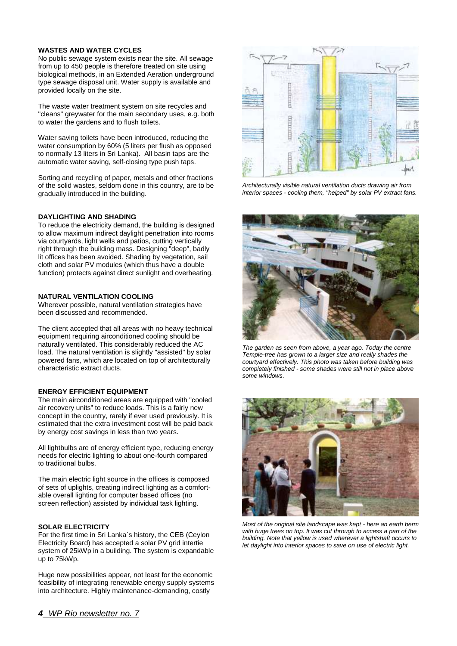#### **WASTES AND WATER CYCLES**

No public sewage system exists near the site. All sewage from up to 450 people is therefore treated on site using biological methods, in an Extended Aeration underground type sewage disposal unit. Water supply is available and provided locally on the site.

The waste water treatment system on site recycles and "cleans" greywater for the main secondary uses, e.g. both to water the gardens and to flush toilets.

Water saving toilets have been introduced, reducing the water consumption by 60% (5 liters per flush as opposed to normally 13 liters in Sri Lanka). All basin taps are the automatic water saving, self-closing type push taps.

Sorting and recycling of paper, metals and other fractions of the solid wastes, seldom done in this country, are to be gradually introduced in the building.

#### **DAYLIGHTING AND SHADING**

To reduce the electricity demand, the building is designed to allow maximum indirect daylight penetration into rooms via courtyards, light wells and patios, cutting vertically right through the building mass. Designing "deep", badly lit offices has been avoided. Shading by vegetation, sail cloth and solar PV modules (which thus have a double function) protects against direct sunlight and overheating.

#### **NATURAL VENTILATION COOLING**

Wherever possible, natural ventilation strategies have been discussed and recommended.

The client accepted that all areas with no heavy technical equipment requiring airconditioned cooling should be naturally ventilated. This considerably reduced the AC load. The natural ventilation is slightly "assisted" by solar powered fans, which are located on top of architecturally characteristic extract ducts.

#### **ENERGY EFFICIENT EQUIPMENT**

The main airconditioned areas are equipped with "cooled air recovery units" to reduce loads. This is a fairly new concept in the country, rarely if ever used previously. It is estimated that the extra investment cost will be paid back by energy cost savings in less than two years.

All lightbulbs are of energy efficient type, reducing energy needs for electric lighting to about one-fourth compared to traditional bulbs.

The main electric light source in the offices is composed of sets of uplights, creating indirect lighting as a comfortable overall lighting for computer based offices (no screen reflection) assisted by individual task lighting.

#### **SOLAR ELECTRICITY**

For the first time in Sri Lanka`s history, the CEB (Ceylon Electricity Board) has accepted a solar PV grid intertie system of 25kWp in a building. The system is expandable up to 75kWp.

Huge new possibilities appear, not least for the economic feasibility of integrating renewable energy supply systems into architecture. Highly maintenance-demanding, costly



*Architecturally visible natural ventilation ducts drawing air from interior spaces - cooling them, "helped" by solar PV extract fans.*



*The garden as seen from above, a year ago. Today the centre Temple-tree has grown to a larger size and really shades the courtyard effectively. This photo was taken before building was completely finished - some shades were still not in place above some windows.*



*Most of the original site landscape was kept - here an earth berm with huge trees on top. It was cut through to access a part of the building. Note that yellow is used wherever a lightshaft occurs to let daylight into interior spaces to save on use of electric light.*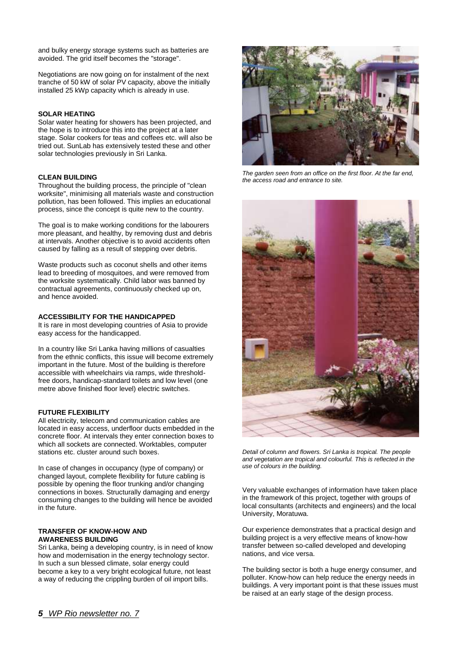and bulky energy storage systems such as batteries are avoided. The grid itself becomes the "storage".

Negotiations are now going on for instalment of the next tranche of 50 kW of solar PV capacity, above the initially installed 25 kWp capacity which is already in use.

#### **SOLAR HEATING**

Solar water heating for showers has been projected, and the hope is to introduce this into the project at a later stage. Solar cookers for teas and coffees etc. will also be tried out. SunLab has extensively tested these and other solar technologies previously in Sri Lanka.

#### **CLEAN BUILDING**

Throughout the building process, the principle of "clean worksite", minimising all materials waste and construction pollution, has been followed. This implies an educational process, since the concept is quite new to the country.

The goal is to make working conditions for the labourers more pleasant, and healthy, by removing dust and debris at intervals. Another objective is to avoid accidents often caused by falling as a result of stepping over debris.

Waste products such as coconut shells and other items lead to breeding of mosquitoes, and were removed from the worksite systematically. Child labor was banned by contractual agreements, continuously checked up on, and hence avoided.

#### **ACCESSIBILITY FOR THE HANDICAPPED**

It is rare in most developing countries of Asia to provide easy access for the handicapped.

In a country like Sri Lanka having millions of casualties from the ethnic conflicts, this issue will become extremely important in the future. Most of the building is therefore accessible with wheelchairs via ramps, wide thresholdfree doors, handicap-standard toilets and low level (one metre above finished floor level) electric switches.

#### **FUTURE FLEXIBILITY**

All electricity, telecom and communication cables are located in easy access, underfloor ducts embedded in the concrete floor. At intervals they enter connection boxes to which all sockets are connected. Worktables, computer stations etc. cluster around such boxes.

In case of changes in occupancy (type of company) or changed layout, complete flexibility for future cabling is possible by opening the floor trunking and/or changing connections in boxes. Structurally damaging and energy consuming changes to the building will hence be avoided in the future.

#### **TRANSFER OF KNOW-HOW AND AWARENESS BUILDING**

Sri Lanka, being a developing country, is in need of know how and modernisation in the energy technology sector. In such a sun blessed climate, solar energy could become a key to a very bright ecological future, not least a way of reducing the crippling burden of oil import bills.



*The garden seen from an office on the first floor. At the far end, the access road and entrance to site.*



*Detail of column and flowers. Sri Lanka is tropical. The people and vegetation are tropical and colourful. This is reflected in the use of colours in the building.*

Very valuable exchanges of information have taken place in the framework of this project, together with groups of local consultants (architects and engineers) and the local University, Moratuwa.

Our experience demonstrates that a practical design and building project is a very effective means of know-how transfer between so-called developed and developing nations, and vice versa.

The building sector is both a huge energy consumer, and polluter. Know-how can help reduce the energy needs in buildings. A very important point is that these issues must be raised at an early stage of the design process.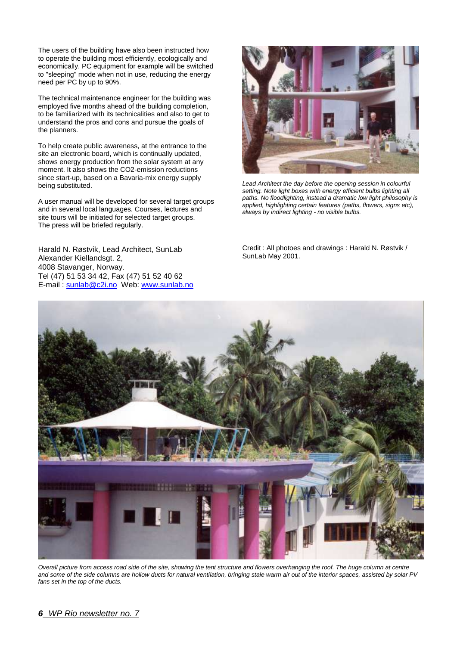The users of the building have also been instructed how to operate the building most efficiently, ecologically and economically. PC equipment for example will be switched to "sleeping" mode when not in use, reducing the energy need per PC by up to 90%.

The technical maintenance engineer for the building was employed five months ahead of the building completion, to be familiarized with its technicalities and also to get to understand the pros and cons and pursue the goals of the planners.

To help create public awareness, at the entrance to the site an electronic board, which is continually updated, shows energy production from the solar system at any moment. It also shows the CO2-emission reductions since start-up, based on a Bavaria-mix energy supply being substituted.

A user manual will be developed for several target groups and in several local languages. Courses, lectures and site tours will be initiated for selected target groups. The press will be briefed regularly.

Harald N. Røstvik, Lead Architect, SunLab Alexander Kiellandsgt. 2, 4008 Stavanger, Norway. Tel (47) 51 53 34 42, Fax (47) 51 52 40 62 E-mail : sunlab@c2i.no Web: [www.sunlab.no](http://www.sunlab.no/)



*Lead Architect the day before the opening session in colourful setting. Note light boxes with energy efficient bulbs lighting all paths. No floodlighting, instead a dramatic low light philosophy is applied, highlighting certain features (paths, flowers, signs etc), always by indirect lighting - no visible bulbs.*

Credit : All photoes and drawings : Harald N. Røstvik / SunLab May 2001.



*Overall picture from access road side of the site, showing the tent structure and flowers overhanging the roof. The huge column at centre and some of the side columns are hollow ducts for natural ventilation, bringing stale warm air out of the interior spaces, assisted by solar PV fans set in the top of the ducts.*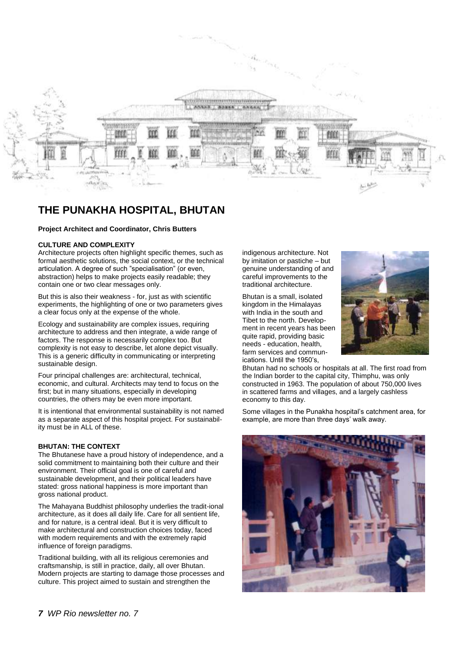

## **THE PUNAKHA HOSPITAL, BHUTAN**

#### **Project Architect and Coordinator, Chris Butters**

#### **CULTURE AND COMPLEXITY**

Architecture projects often highlight specific themes, such as formal aesthetic solutions, the social context, or the technical articulation. A degree of such "specialisation" (or even, abstraction) helps to make projects easily readable; they contain one or two clear messages only.

But this is also their weakness - for, just as with scientific experiments, the highlighting of one or two parameters gives a clear focus only at the expense of the whole.

Ecology and sustainability are complex issues, requiring architecture to address and then integrate, a wide range of factors. The response is necessarily complex too. But complexity is not easy to describe, let alone depict visually. This is a generic difficulty in communicating or interpreting sustainable design.

Four principal challenges are: architectural, technical, economic, and cultural. Architects may tend to focus on the first; but in many situations, especially in developing countries, the others may be even more important.

It is intentional that environmental sustainability is not named as a separate aspect of this hospital project. For sustainability must be in ALL of these.

#### **BHUTAN: THE CONTEXT**

The Bhutanese have a proud history of independence, and a solid commitment to maintaining both their culture and their environment. Their official goal is one of careful and sustainable development, and their political leaders have stated: gross national happiness is more important than gross national product.

The Mahayana Buddhist philosophy underlies the tradit-ional architecture, as it does all daily life. Care for all sentient life, and for nature, is a central ideal. But it is very difficult to make architectural and construction choices today, faced with modern requirements and with the extremely rapid influence of foreign paradigms.

Traditional building, with all its religious ceremonies and craftsmanship, is still in practice, daily, all over Bhutan. Modern projects are starting to damage those processes and culture. This project aimed to sustain and strengthen the

indigenous architecture. Not by imitation or pastiche – but genuine understanding of and careful improvements to the traditional architecture.

Bhutan is a small, isolated kingdom in the Himalayas with India in the south and Tibet to the north. Development in recent years has been quite rapid, providing basic needs - education, health, farm services and communications. Until the 1950's,



Bhutan had no schools or hospitals at all. The first road from the Indian border to the capital city, Thimphu, was only constructed in 1963. The population of about 750,000 lives in scattered farms and villages, and a largely cashless economy to this day.

Some villages in the Punakha hospital's catchment area, for example, are more than three days' walk away.

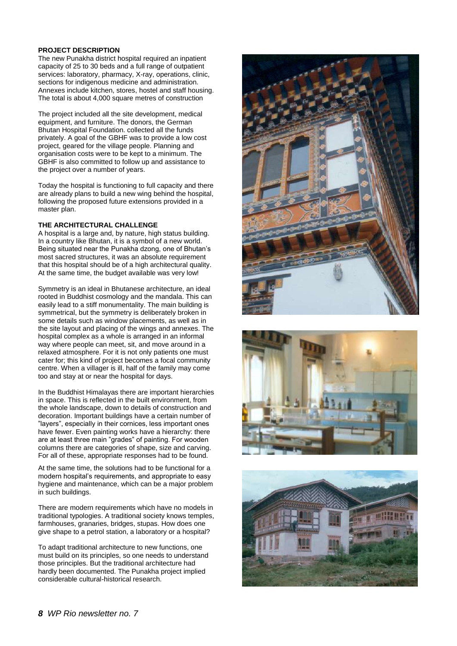#### **PROJECT DESCRIPTION**

The new Punakha district hospital required an inpatient capacity of 25 to 30 beds and a full range of outpatient services: laboratory, pharmacy, X-ray, operations, clinic, sections for indigenous medicine and administration. Annexes include kitchen, stores, hostel and staff housing. The total is about 4,000 square metres of construction

The project included all the site development, medical equipment, and furniture. The donors, the German Bhutan Hospital Foundation. collected all the funds privately. A goal of the GBHF was to provide a low cost project, geared for the village people. Planning and organisation costs were to be kept to a minimum. The GBHF is also committed to follow up and assistance to the project over a number of years.

Today the hospital is functioning to full capacity and there are already plans to build a new wing behind the hospital, following the proposed future extensions provided in a master plan.

#### **THE ARCHITECTURAL CHALLENGE**

A hospital is a large and, by nature, high status building. In a country like Bhutan, it is a symbol of a new world. Being situated near the Punakha dzong, one of Bhutan's most sacred structures, it was an absolute requirement that this hospital should be of a high architectural quality. At the same time, the budget available was very low!

Symmetry is an ideal in Bhutanese architecture, an ideal rooted in Buddhist cosmology and the mandala. This can easily lead to a stiff monumentality. The main building is symmetrical, but the symmetry is deliberately broken in some details such as window placements, as well as in the site layout and placing of the wings and annexes. The hospital complex as a whole is arranged in an informal way where people can meet, sit, and move around in a relaxed atmosphere. For it is not only patients one must cater for; this kind of project becomes a focal community centre. When a villager is ill, half of the family may come too and stay at or near the hospital for days.

In the Buddhist Himalayas there are important hierarchies in space. This is reflected in the built environment, from the whole landscape, down to details of construction and decoration. Important buildings have a certain number of "layers", especially in their cornices, less important ones have fewer. Even painting works have a hierarchy: there are at least three main "grades" of painting. For wooden columns there are categories of shape, size and carving. For all of these, appropriate responses had to be found.

At the same time, the solutions had to be functional for a modern hospital's requirements, and appropriate to easy hygiene and maintenance, which can be a major problem in such buildings.

There are modern requirements which have no models in traditional typologies. A traditional society knows temples, farmhouses, granaries, bridges, stupas. How does one give shape to a petrol station, a laboratory or a hospital?

To adapt traditional architecture to new functions, one must build on its principles, so one needs to understand those principles. But the traditional architecture had hardly been documented. The Punakha project implied considerable cultural-historical research.





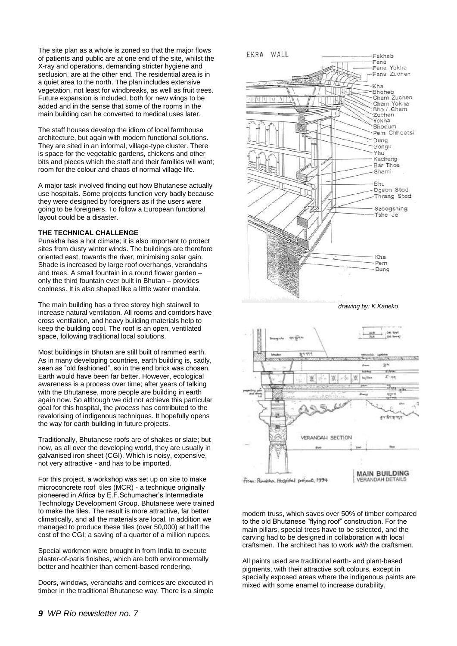The site plan as a whole is zoned so that the major flows of patients and public are at one end of the site, whilst the X-ray and operations, demanding stricter hygiene and seclusion, are at the other end. The residential area is in a quiet area to the north. The plan includes extensive vegetation, not least for windbreaks, as well as fruit trees. Future expansion is included, both for new wings to be added and in the sense that some of the rooms in the main building can be converted to medical uses later.

The staff houses develop the idiom of local farmhouse architecture, but again with modern functional solutions. They are sited in an informal, village-type cluster. There is space for the vegetable gardens, chickens and other bits and pieces which the staff and their families will want; room for the colour and chaos of normal village life.

A major task involved finding out how Bhutanese actually use hospitals. Some projects function very badly because they were designed by foreigners as if the users were going to be foreigners. To follow a European functional layout could be a disaster.

#### **THE TECHNICAL CHALLENGE**

Punakha has a hot climate; it is also important to protect sites from dusty winter winds. The buildings are therefore oriented east, towards the river, minimising solar gain. Shade is increased by large roof overhangs, verandahs and trees. A small fountain in a round flower garden – only the third fountain ever built in Bhutan – provides coolness. It is also shaped like a little water mandala.

The main building has a three storey high stairwell to increase natural ventilation. All rooms and corridors have cross ventilation, and heavy building materials help to keep the building cool. The roof is an open, ventilated space, following traditional local solutions.

Most buildings in Bhutan are still built of rammed earth. As in many developing countries, earth building is, sadly, seen as "old fashioned", so in the end brick was chosen. Earth would have been far better. However, ecological awareness is a process over time; after years of talking with the Bhutanese, more people are building in earth again now. So although we did not achieve this particular goal for this hospital, the *process* has contributed to the revalorising of indigenous techniques. It hopefully opens the way for earth building in future projects.

Traditionally, Bhutanese roofs are of shakes or slate; but now, as all over the developing world, they are usually in galvanised iron sheet (CGI). Which is noisy, expensive, not very attractive - and has to be imported.

For this project, a workshop was set up on site to make microconcrete roof tiles (MCR) - a technique originally pioneered in Africa by E.F.Schumacher's Intermediate Technology Development Group. Bhutanese were trained to make the tiles. The result is more attractive, far better climatically, and all the materials are local. In addition we managed to produce these tiles (over 50,000) at half the cost of the CGI; a saving of a quarter of a million rupees.

Special workmen were brought in from India to execute plaster-of-paris finishes, which are both environmentally better and healthier than cement-based rendering.

Doors, windows, verandahs and cornices are executed in timber in the traditional Bhutanese way. There is a simple





modern truss, which saves over 50% of timber compared to the old Bhutanese "flying roof" construction. For the main pillars, special trees have to be selected, and the carving had to be designed in collaboration with local craftsmen. The architect has to work *with* the craftsmen.

All paints used are traditional earth- and plant-based pigments, with their attractive soft colours, except in specially exposed areas where the indigenous paints are mixed with some enamel to increase durability.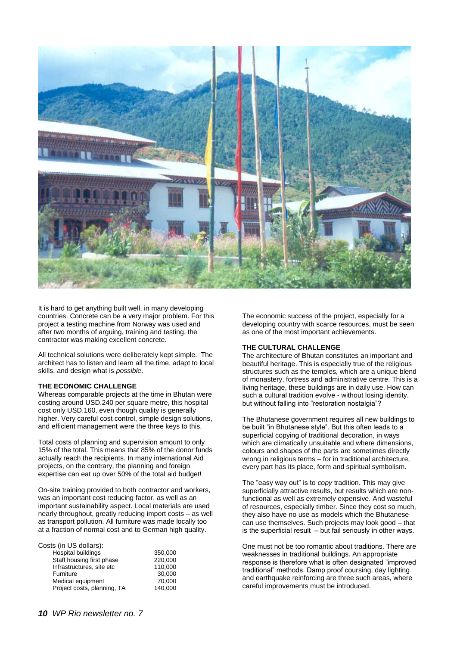

It is hard to get anything built well, in many developing countries. Concrete can be a very major problem. For this project a testing machine from Norway was used and after two months of arguing, training and testing, the contractor was making excellent concrete.

All technical solutions were deliberately kept simple. The architect has to listen and learn all the time, adapt to local skills, and design what is *possible*.

#### **THE ECONOMIC CHALLENGE**

Whereas comparable projects at the time in Bhutan were costing around USD.240 per square metre, this hospital cost only USD.160, even though quality is generally higher. Very careful cost control, simple design solutions, and efficient management were the three keys to this.

Total costs of planning and supervision amount to only 15% of the total. This means that 85% of the donor funds actually reach the recipients. In many international Aid projects, on the contrary, the planning and foreign expertise can eat up over 50% of the total aid budget!

On-site training provided to both contractor and workers, was an important cost reducing factor, as well as an important sustainability aspect. Local materials are used nearly throughout, greatly reducing import costs – as well as transport pollution. All furniture was made locally too at a fraction of normal cost and to German high quality.

| Costs (in US dollars):      |         |
|-----------------------------|---------|
| <b>Hospital buildings</b>   | 350,000 |
| Staff housing first phase   | 220,000 |
| Infrastructures, site etc   | 110.000 |
| Furniture                   | 30,000  |
| Medical equipment           | 70.000  |
| Project costs, planning, TA | 140.000 |
|                             |         |

The economic success of the project, especially for a developing country with scarce resources, must be seen as one of the most important achievements.

#### **THE CULTURAL CHALLENGE**

The architecture of Bhutan constitutes an important and beautiful heritage. This is especially true of the religious structures such as the temples, which are a unique blend of monastery, fortress and administrative centre. This is a living heritage, these buildings are in daily use. How can such a cultural tradition evolve - without losing identity, but without falling into "restoration nostalgia"?

The Bhutanese government requires all new buildings to be built "in Bhutanese style". But this often leads to a superficial copying of traditional decoration, in ways which are climatically unsuitable and where dimensions, colours and shapes of the parts are sometimes directly wrong in religious terms – for in traditional architecture, every part has its place, form and spiritual symbolism.

The "easy way out" is to *copy* tradition. This may give superficially attractive results, but results which are nonfunctional as well as extremely expensive. And wasteful of resources, especially timber. Since they cost so much, they also have no use as models which the Bhutanese can use themselves. Such projects may look good – that is the superficial result – but fail seriously in other ways.

One must not be too romantic about traditions. There are weaknesses in traditional buildings. An appropriate response is therefore what is often designated "improved traditional" methods. Damp proof coursing, day lighting and earthquake reinforcing are three such areas, where careful improvements must be introduced.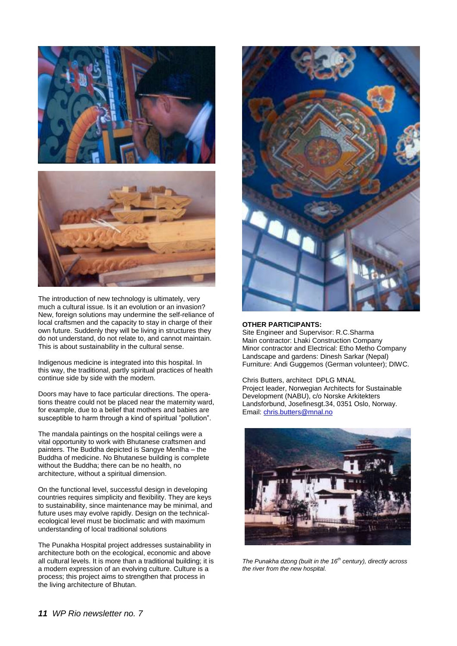

The introduction of new technology is ultimately, very much a cultural issue. Is it an evolution or an invasion? New, foreign solutions may undermine the self-reliance of local craftsmen and the capacity to stay in charge of their own future. Suddenly they will be living in structures they do not understand, do not relate to, and cannot maintain. This is about sustainability in the cultural sense.

Indigenous medicine is integrated into this hospital. In this way, the traditional, partly spiritual practices of health continue side by side with the modern.

Doors may have to face particular directions. The operations theatre could not be placed near the maternity ward, for example, due to a belief that mothers and babies are susceptible to harm through a kind of spiritual "pollution".

The mandala paintings on the hospital ceilings were a vital opportunity to work with Bhutanese craftsmen and painters. The Buddha depicted is Sangye Menlha – the Buddha of medicine. No Bhutanese building is complete without the Buddha; there can be no health, no architecture, without a spiritual dimension.

On the functional level, successful design in developing countries requires simplicity and flexibility. They are keys to sustainability, since maintenance may be minimal, and future uses may evolve rapidly. Design on the technicalecological level must be bioclimatic and with maximum understanding of local traditional solutions

The Punakha Hospital project addresses sustainability in architecture both on the ecological, economic and above all cultural levels. It is more than a traditional building; it is a modern expression of an evolving culture. Culture is a process; this project aims to strengthen that process in the living architecture of Bhutan.



#### **OTHER PARTICIPANTS:**

Site Engineer and Supervisor: R.C.Sharma Main contractor: Lhaki Construction Company Minor contractor and Electrical: Etho Metho Company Landscape and gardens: Dinesh Sarkar (Nepal) Furniture: Andi Guggemos (German volunteer); DIWC.

Chris Butters, architect DPLG MNAL Project leader, Norwegian Architects for Sustainable Development (NABU), c/o Norske Arkitekters Landsforbund, Josefinesgt.34, 0351 Oslo, Norway. Email: [chris.butters@mnal.no](mailto:chris.butters@mnal.no)



*The Punakha dzong (built in the 16th century), directly across the river from the new hospital.*